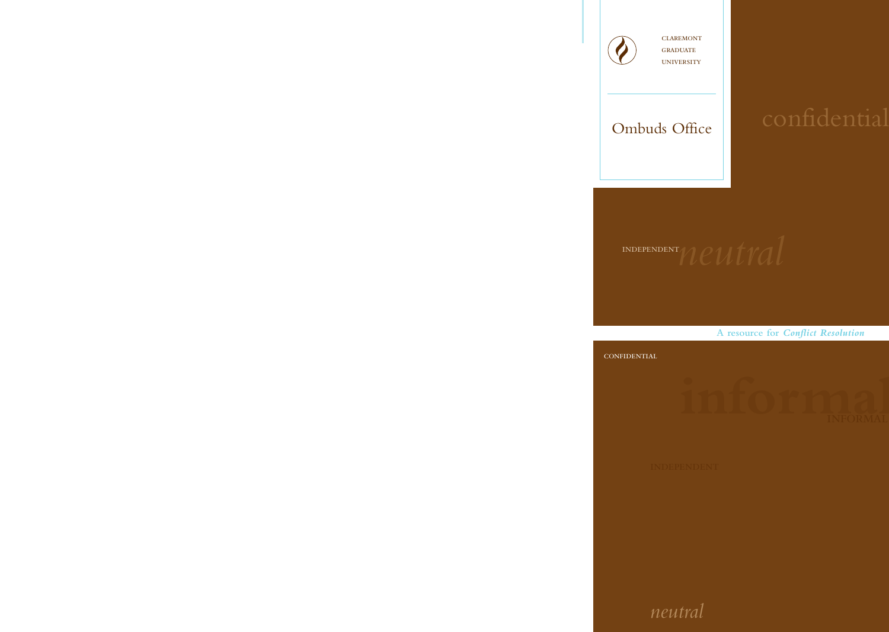claremont **GRADUATE** university

# Ombuds Office

**A resource for** *Conflict Resolution*

#### CONFIDENTIAL

# *neutral*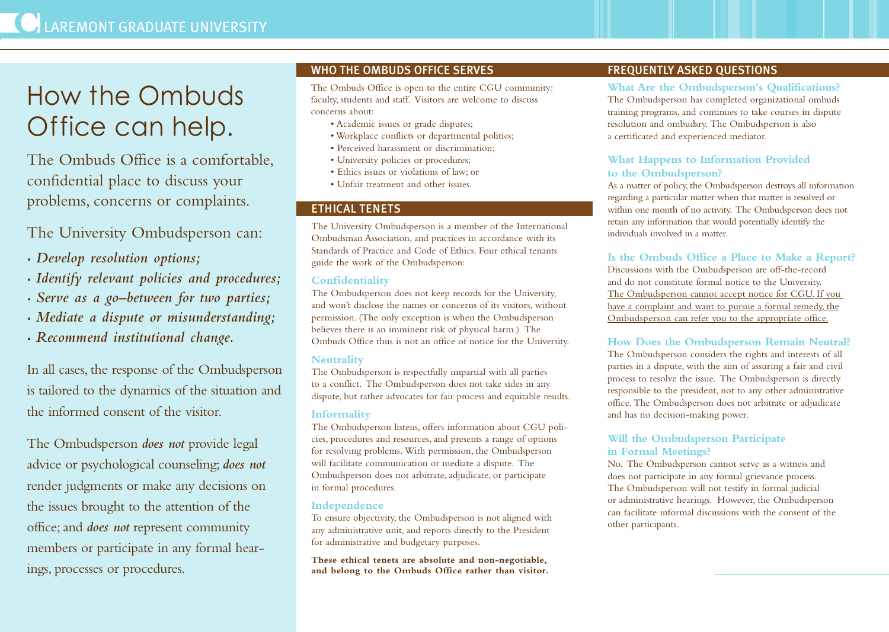# How the Ombuds Office can help.

The Ombuds Office is a comfortable, confidential place to discuss your problems, concerns or complaints.

The University Ombudsperson can:

- *• Develop resolution options;*
- *• Identify relevant policies and procedures;*
- *• Serve as a go–between for two parties;*
- *• Mediate a dispute or misunderstanding;*
- *• Recommend institutional change.*

In all cases, the response of the Ombudsperson is tailored to the dynamics of the situation and the informed consent of the visitor.

The Ombudsperson *does not* provide legal advice or psychological counseling; *does not* render judgments or make any decisions on the issues brought to the attention of the office; and *does not* represent community members or participate in any formal hearings, processes or procedures.

## WHO THE OMBUDS OFFICE SERVES

The Ombuds Office is open to the entire CGU community: faculty, students and staff. Visitors are welcome to discuss concerns about:

- Academic issues or grade disputes;
- Workplace conflicts or departmental politics;
- Perceived harassment or discrimination;
- University policies or procedures;
- Ethics issues or violations of law; or
- Unfair treatment and other issues.

### ETHICAL TENETS

The University Ombudsperson is a member of the International Ombudsman Association, and practices in accordance with its Standards of Practice and Code of Ethics. Four ethical tenants guide the work of the Ombudsperson:

### **Confidentiality**

The Ombudsperson does not keep records for the University, and won't disclose the names or concerns of its visitors, without permission. (The only exception is when the Ombudsperson believes there is an imminent risk of physical harm.) The Ombuds Office thus is not an office of notice for the University.

#### **Neutrality**

The Ombudsperson is respectfully impartial with all parties to a conflict. The Ombudsperson does not take sides in any dispute, but rather advocates for fair process and equitable results.

#### **Informality**

The Ombudsperson listens, offers information about CGU policies, procedures and resources, and presents a range of options for resolving problems. With permission, the Ombudsperson will facilitate communication or mediate a dispute. The Ombudsperson does not arbitrate, adjudicate, or participate in formal procedures.

#### **Independence**

To ensure objectivity, the Ombudsperson is not aligned with any administrative unit, and reports directly to the President for administrative and budgetary purposes.

**These ethical tenets are absolute and non-negotiable, and belong to the Ombuds Office rather than visitor.**

# FREQUENTLY ASKED QUESTIONS

**What Are the Ombudsperson's Qualifications?** The Ombudsperson has completed organizational ombuds training programs, and continues to take courses in dispute resolution and ombudsry. The Ombudsperson is also a certificated and experienced mediator.

#### **What Happens to Information Provided to the Ombudsperson?**

As a matter of policy, the Ombudsperson destroys all information regarding a particular matter when that matter is resolved or within one month of no activity. The Ombudsperson does not retain any information that would potentially identify the individuals involved in a matter.

### **Is the Ombuds Office a Place to Make a Report?**

Discussions with the Ombudsperson are off-the-record and do not constitute formal notice to the University. The Ombudsperson cannot accept notice for CGU. If you have a complaint and want to pursue a formal remedy, the Ombudsperson can refer you to the appropriate office.

#### **How Does the Ombudsperson Remain Neutral?**

The Ombudsperson considers the rights and interests of all parties in a dispute, with the aim of assuring a fair and civil process to resolve the issue. The Ombudsperson is directly responsible to the president, not to any other administrative office. The Ombudsperson does not arbitrate or adjudicate and has no decision-making power.

### **Will the Ombudsperson Participate in Formal Meetings?**

No. The Ombudsperson cannot serve as a witness and does not participate in any formal grievance process. The Ombudsperson will not testify in formal judicial or administrative hearings. However, the Ombudsperson can facilitate informal discussions with the consent of the other participants.